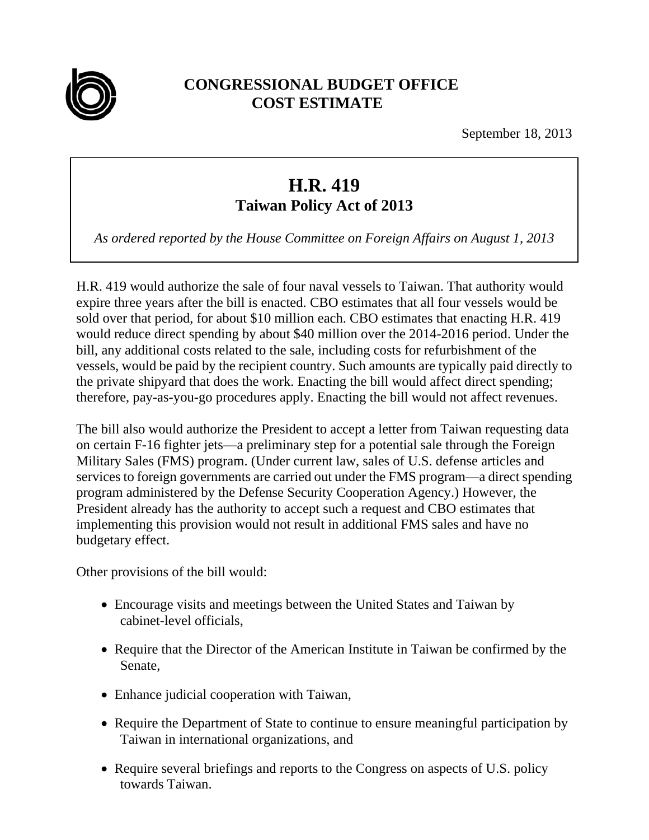

## **CONGRESSIONAL BUDGET OFFICE COST ESTIMATE**

September 18, 2013

## **H.R. 419 Taiwan Policy Act of 2013**

*As ordered reported by the House Committee on Foreign Affairs on August 1, 2013* 

H.R. 419 would authorize the sale of four naval vessels to Taiwan. That authority would expire three years after the bill is enacted. CBO estimates that all four vessels would be sold over that period, for about \$10 million each. CBO estimates that enacting H.R. 419 would reduce direct spending by about \$40 million over the 2014-2016 period. Under the bill, any additional costs related to the sale, including costs for refurbishment of the vessels, would be paid by the recipient country. Such amounts are typically paid directly to the private shipyard that does the work. Enacting the bill would affect direct spending; therefore, pay-as-you-go procedures apply. Enacting the bill would not affect revenues.

The bill also would authorize the President to accept a letter from Taiwan requesting data on certain F-16 fighter jets—a preliminary step for a potential sale through the Foreign Military Sales (FMS) program. (Under current law, sales of U.S. defense articles and services to foreign governments are carried out under the FMS program—a direct spending program administered by the Defense Security Cooperation Agency.) However, the President already has the authority to accept such a request and CBO estimates that implementing this provision would not result in additional FMS sales and have no budgetary effect.

Other provisions of the bill would:

- Encourage visits and meetings between the United States and Taiwan by cabinet-level officials,
- Require that the Director of the American Institute in Taiwan be confirmed by the Senate,
- Enhance judicial cooperation with Taiwan,
- Require the Department of State to continue to ensure meaningful participation by Taiwan in international organizations, and
- Require several briefings and reports to the Congress on aspects of U.S. policy towards Taiwan.